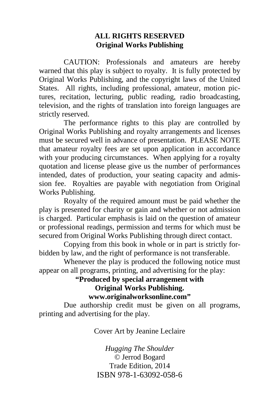#### **ALL RIGHTS RESERVED Original Works Publishing**

 CAUTION: Professionals and amateurs are hereby warned that this play is subject to royalty. It is fully protected by Original Works Publishing, and the copyright laws of the United States. All rights, including professional, amateur, motion pictures, recitation, lecturing, public reading, radio broadcasting, television, and the rights of translation into foreign languages are strictly reserved.

 The performance rights to this play are controlled by Original Works Publishing and royalty arrangements and licenses must be secured well in advance of presentation. PLEASE NOTE that amateur royalty fees are set upon application in accordance with your producing circumstances. When applying for a royalty quotation and license please give us the number of performances intended, dates of production, your seating capacity and admission fee. Royalties are payable with negotiation from Original Works Publishing.

 Royalty of the required amount must be paid whether the play is presented for charity or gain and whether or not admission is charged. Particular emphasis is laid on the question of amateur or professional readings, permission and terms for which must be secured from Original Works Publishing through direct contact.

 Copying from this book in whole or in part is strictly forbidden by law, and the right of performance is not transferable.

 Whenever the play is produced the following notice must appear on all programs, printing, and advertising for the play:

#### **"Produced by special arrangement with Original Works Publishing. www.originalworksonline.com"**

 Due authorship credit must be given on all programs, printing and advertising for the play.

Cover Art by Jeanine Leclaire

*Hugging The Shoulder ©* Jerrod Bogard Trade Edition, 2014 ISBN 978-1-63092-058-6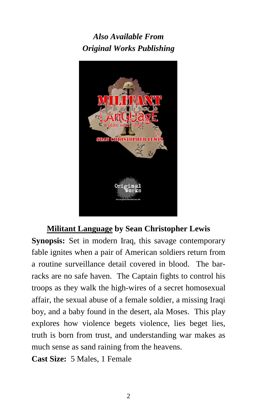*Also Available From Original Works Publishing* 



# **Militant Language by Sean Christopher Lewis**

**Synopsis:** Set in modern Iraq, this savage contemporary fable ignites when a pair of American soldiers return from a routine surveillance detail covered in blood. The barracks are no safe haven. The Captain fights to control his troops as they walk the high-wires of a secret homosexual affair, the sexual abuse of a female soldier, a missing Iraqi boy, and a baby found in the desert, ala Moses. This play explores how violence begets violence, lies beget lies, truth is born from trust, and understanding war makes as much sense as sand raining from the heavens.

**Cast Size:** 5 Males, 1 Female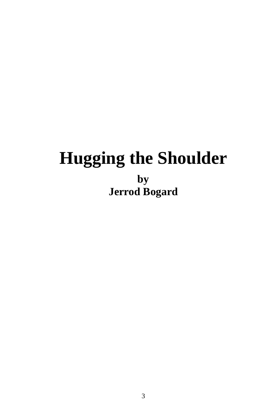# **Hugging the Shoulder by Jerrod Bogard**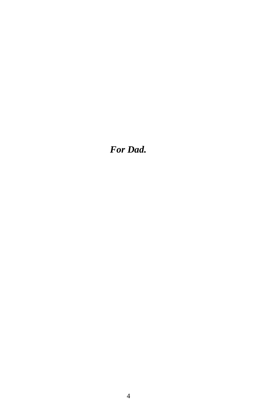*For Dad.*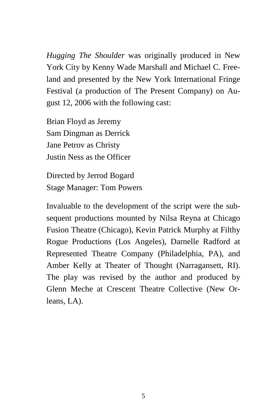*Hugging The Shoulder* was originally produced in New York City by Kenny Wade Marshall and Michael C. Freeland and presented by the New York International Fringe Festival (a production of The Present Company) on August 12, 2006 with the following cast:

Brian Floyd as Jeremy Sam Dingman as Derrick Jane Petrov as Christy Justin Ness as the Officer

Directed by Jerrod Bogard Stage Manager: Tom Powers

Invaluable to the development of the script were the subsequent productions mounted by Nilsa Reyna at Chicago Fusion Theatre (Chicago), Kevin Patrick Murphy at Filthy Rogue Productions (Los Angeles), Darnelle Radford at Represented Theatre Company (Philadelphia, PA), and Amber Kelly at Theater of Thought (Narragansett, RI). The play was revised by the author and produced by Glenn Meche at Crescent Theatre Collective (New Orleans, LA).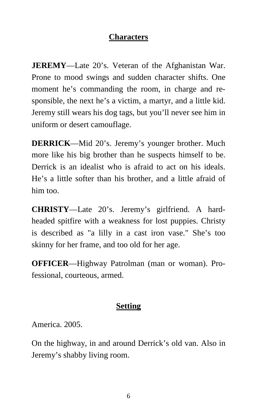### **Characters**

**JEREMY**—Late 20's. Veteran of the Afghanistan War. Prone to mood swings and sudden character shifts. One moment he's commanding the room, in charge and responsible, the next he's a victim, a martyr, and a little kid. Jeremy still wears his dog tags, but you'll never see him in uniform or desert camouflage.

**DERRICK**—Mid 20's. Jeremy's younger brother. Much more like his big brother than he suspects himself to be. Derrick is an idealist who is afraid to act on his ideals. He's a little softer than his brother, and a little afraid of him too.

**CHRISTY**—Late 20's. Jeremy's girlfriend. A hardheaded spitfire with a weakness for lost puppies. Christy is described as "a lilly in a cast iron vase." She's too skinny for her frame, and too old for her age.

**OFFICER**—Highway Patrolman (man or woman). Professional, courteous, armed.

# **Setting**

America. 2005.

On the highway, in and around Derrick's old van. Also in Jeremy's shabby living room.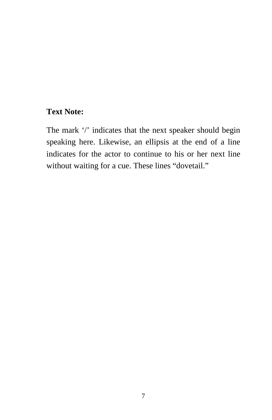# **Text Note:**

The mark '/' indicates that the next speaker should begin speaking here. Likewise, an ellipsis at the end of a line indicates for the actor to continue to his or her next line without waiting for a cue. These lines "dovetail."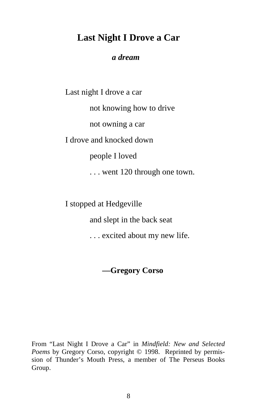# **Last Night I Drove a Car**

#### *a dream*

Last night I drove a car not knowing how to drive not owning a car I drove and knocked down people I loved . . . went 120 through one town.

I stopped at Hedgeville

and slept in the back seat

. . . excited about my new life.

**—Gregory Corso** 

From "Last Night I Drove a Car" in *Mindfield: New and Selected Poems* by Gregory Corso, copyright © 1998. Reprinted by permission of Thunder's Mouth Press, a member of The Perseus Books Group.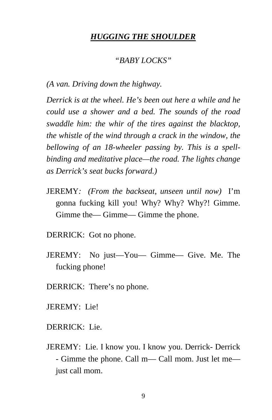#### *HUGGING THE SHOULDER*

#### *"BABY LOCKS"*

*(A van. Driving down the highway.* 

*Derrick is at the wheel. He's been out here a while and he could use a shower and a bed. The sounds of the road swaddle him: the whir of the tires against the blacktop, the whistle of the wind through a crack in the window, the bellowing of an 18-wheeler passing by. This is a spellbinding and meditative place—the road. The lights change as Derrick's seat bucks forward.)* 

JEREMY*: (From the backseat, unseen until now)* I'm gonna fucking kill you! Why? Why? Why?! Gimme. Gimme the— Gimme— Gimme the phone.

DERRICK: Got no phone.

- JEREMY: No just—You— Gimme— Give. Me. The fucking phone!
- DERRICK: There's no phone.
- JEREMY: Lie!
- DERRICK: Lie.
- JEREMY: Lie. I know you. I know you. Derrick- Derrick - Gimme the phone. Call m— Call mom. Just let me just call mom.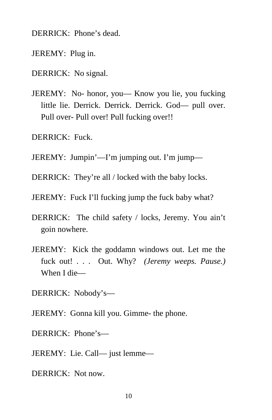DERRICK: Phone's dead.

JEREMY: Plug in.

DERRICK: No signal.

JEREMY: No- honor, you— Know you lie, you fucking little lie. Derrick. Derrick. Derrick. God— pull over. Pull over- Pull over! Pull fucking over!!

DERRICK: Fuck.

JEREMY: Jumpin'—I'm jumping out. I'm jump—

DERRICK: They're all / locked with the baby locks.

JEREMY: Fuck I'll fucking jump the fuck baby what?

- DERRICK: The child safety / locks, Jeremy. You ain't goin nowhere.
- JEREMY: Kick the goddamn windows out. Let me the fuck out! . . . Out. Why? *(Jeremy weeps. Pause.)* When I die—

DERRICK: Nobody's—

JEREMY: Gonna kill you. Gimme- the phone.

DERRICK: Phone's—

JEREMY: Lie. Call— just lemme—

DERRICK: Not now.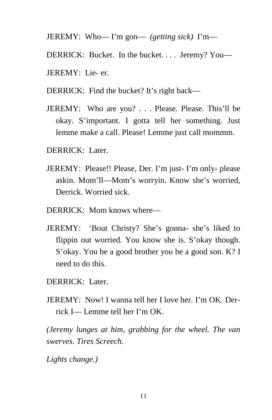```
JEREMY: Who— I'm gon— (getting sick) I'm—
```
DERRICK: Bucket. In the bucket. . . . Jeremy? You—

- JEREMY: Lie- er.
- DERRICK: Find the bucket? It's right back—
- JEREMY: Who are you? . . . Please. Please. This'll be okay. S'important. I gotta tell her something. Just lemme make a call. Please! Lemme just call mommm.
- DERRICK: Later.
- JEREMY: Please!! Please, Der. I'm just- I'm only- please askin. Mom'll—Mom's worryin. Know she's worried, Derrick. Worried sick.
- DERRICK: Mom knows where—
- JEREMY: 'Bout Christy? She's gonna- she's liked to flippin out worried. You know she is. S'okay though. S'okay. You be a good brother you be a good son. K? I need to do this.
- DERRICK: Later.
- JEREMY: Now! I wanna tell her I love her. I'm OK. Derrick I— Lemme tell her I'm OK.

*(Jeremy lunges at him, grabbing for the wheel. The van swerves. Tires Screech.* 

*Lights change.)*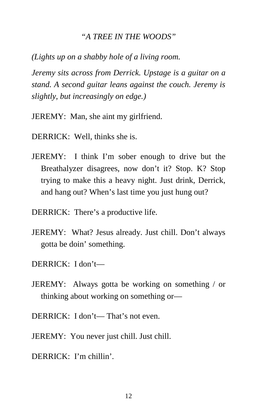#### *"A TREE IN THE WOODS"*

*(Lights up on a shabby hole of a living room.* 

*Jeremy sits across from Derrick. Upstage is a guitar on a stand. A second guitar leans against the couch. Jeremy is slightly, but increasingly on edge.)* 

JEREMY: Man, she aint my girlfriend.

DERRICK: Well, thinks she is.

- JEREMY: I think I'm sober enough to drive but the Breathalyzer disagrees, now don't it? Stop. K? Stop trying to make this a heavy night. Just drink, Derrick, and hang out? When's last time you just hung out?
- DERRICK: There's a productive life.
- JEREMY: What? Jesus already. Just chill. Don't always gotta be doin' something.
- DERRICK: I don't—
- JEREMY: Always gotta be working on something / or thinking about working on something or—
- DERRICK: I don't— That's not even.
- JEREMY: You never just chill. Just chill.
- DERRICK: I'm chillin'.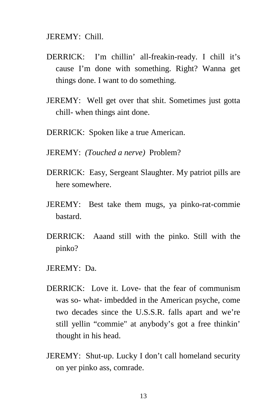JEREMY: Chill.

- DERRICK: I'm chillin' all-freakin-ready. I chill it's cause I'm done with something. Right? Wanna get things done. I want to do something.
- JEREMY: Well get over that shit. Sometimes just gotta chill- when things aint done.
- DERRICK: Spoken like a true American.
- JEREMY: *(Touched a nerve)* Problem?
- DERRICK: Easy, Sergeant Slaughter. My patriot pills are here somewhere.
- JEREMY: Best take them mugs, ya pinko-rat-commie bastard.
- DERRICK: Aaand still with the pinko. Still with the pinko?
- JEREMY: Da.
- DERRICK: Love it. Love- that the fear of communism was so- what- imbedded in the American psyche, come two decades since the U.S.S.R. falls apart and we're still yellin "commie" at anybody's got a free thinkin' thought in his head.
- JEREMY: Shut-up. Lucky I don't call homeland security on yer pinko ass, comrade.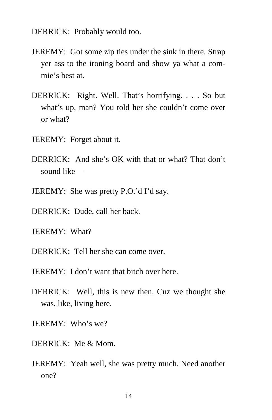DERRICK: Probably would too.

- JEREMY: Got some zip ties under the sink in there. Strap yer ass to the ironing board and show ya what a commie's best at.
- DERRICK: Right. Well. That's horrifying. . . . So but what's up, man? You told her she couldn't come over or what?
- JEREMY: Forget about it.
- DERRICK: And she's OK with that or what? That don't sound like—
- JEREMY: She was pretty P.O.'d I'd say.
- DERRICK: Dude, call her back.
- JEREMY: What?
- DERRICK: Tell her she can come over.
- JEREMY: I don't want that bitch over here.
- DERRICK: Well, this is new then. Cuz we thought she was, like, living here.
- JEREMY: Who's we?
- DERRICK: Me & Mom.
- JEREMY: Yeah well, she was pretty much. Need another one?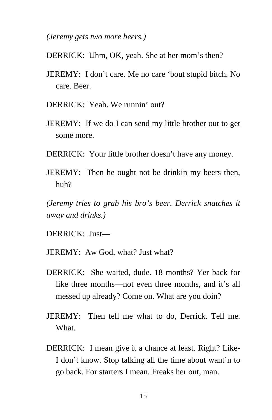*(Jeremy gets two more beers.)* 

- DERRICK: Uhm, OK, yeah. She at her mom's then?
- JEREMY: I don't care. Me no care 'bout stupid bitch. No care. Beer.
- DERRICK: Yeah. We runnin' out?
- JEREMY: If we do I can send my little brother out to get some more.
- DERRICK: Your little brother doesn't have any money.
- JEREMY: Then he ought not be drinkin my beers then, huh?

*(Jeremy tries to grab his bro's beer. Derrick snatches it away and drinks.)* 

DERRICK: Just—

- JEREMY: Aw God, what? Just what?
- DERRICK: She waited, dude. 18 months? Yer back for like three months—not even three months, and it's all messed up already? Come on. What are you doin?
- JEREMY: Then tell me what to do, Derrick. Tell me. What.
- DERRICK: I mean give it a chance at least. Right? Like-I don't know. Stop talking all the time about want'n to go back. For starters I mean. Freaks her out, man.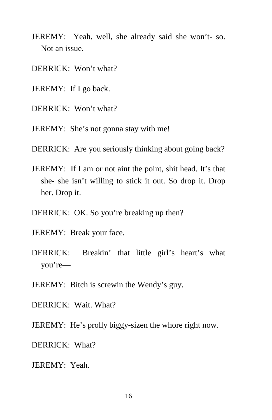- JEREMY: Yeah, well, she already said she won't- so. Not an issue.
- DERRICK: Won't what?
- JEREMY: If I go back.
- DERRICK: Won't what?
- JEREMY: She's not gonna stay with me!
- DERRICK: Are you seriously thinking about going back?
- JEREMY: If I am or not aint the point, shit head. It's that she- she isn't willing to stick it out. So drop it. Drop her. Drop it.
- DERRICK: OK. So you're breaking up then?
- JEREMY: Break your face.
- DERRICK: Breakin' that little girl's heart's what you're—
- JEREMY: Bitch is screwin the Wendy's guy.
- DERRICK: Wait. What?
- JEREMY: He's prolly biggy-sizen the whore right now.
- DERRICK: What?
- JEREMY: Yeah.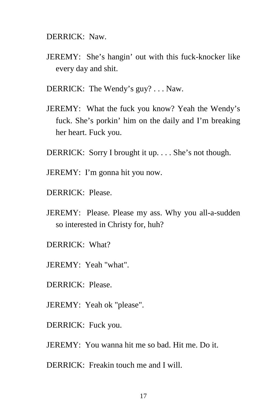DERRICK: Naw.

- JEREMY: She's hangin' out with this fuck-knocker like every day and shit.
- DERRICK: The Wendy's guy? . . . Naw.
- JEREMY: What the fuck you know? Yeah the Wendy's fuck. She's porkin' him on the daily and I'm breaking her heart. Fuck you.
- DERRICK: Sorry I brought it up. . . . She's not though.
- JEREMY: I'm gonna hit you now.
- DERRICK: Please.
- JEREMY: Please. Please my ass. Why you all-a-sudden so interested in Christy for, huh?
- DERRICK: What?
- JEREMY: Yeah "what".
- DERRICK: Please.
- JEREMY: Yeah ok "please".
- DERRICK: Fuck you.
- JEREMY: You wanna hit me so bad. Hit me. Do it.

DERRICK: Freakin touch me and I will.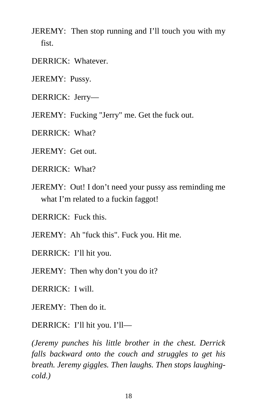- JEREMY: Then stop running and I'll touch you with my fist.
- DERRICK: Whatever.
- JEREMY: Pussy.
- DERRICK: Jerry—
- JEREMY: Fucking "Jerry" me. Get the fuck out.
- DERRICK: What?
- JEREMY: Get out.
- DERRICK: What?
- JEREMY: Out! I don't need your pussy ass reminding me what I'm related to a fuckin faggot!
- DERRICK: Fuck this.
- JEREMY: Ah "fuck this". Fuck you. Hit me.
- DERRICK: I'll hit you.
- JEREMY: Then why don't you do it?
- DERRICK: I will.
- JEREMY: Then do it.
- DERRICK: I'll hit you. I'll—

*(Jeremy punches his little brother in the chest. Derrick falls backward onto the couch and struggles to get his breath. Jeremy giggles. Then laughs. Then stops laughingcold.)*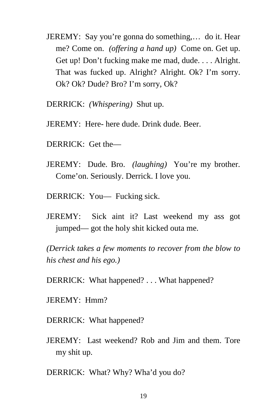- JEREMY: Say you're gonna do something,… do it. Hear me? Come on. *(offering a hand up)* Come on. Get up. Get up! Don't fucking make me mad, dude. . . . Alright. That was fucked up. Alright? Alright. Ok? I'm sorry. Ok? Ok? Dude? Bro? I'm sorry, Ok?
- DERRICK: *(Whispering)* Shut up.
- JEREMY: Here- here dude. Drink dude. Beer.
- DERRICK: Get the—
- JEREMY: Dude. Bro. *(laughing)* You're my brother. Come'on. Seriously. Derrick. I love you.
- DERRICK: You— Fucking sick.
- JEREMY: Sick aint it? Last weekend my ass got jumped— got the holy shit kicked outa me.

*(Derrick takes a few moments to recover from the blow to his chest and his ego.)* 

DERRICK: What happened? . . . What happened?

- JEREMY: Hmm?
- DERRICK: What happened?
- JEREMY: Last weekend? Rob and Jim and them. Tore my shit up.

DERRICK: What? Why? Wha'd you do?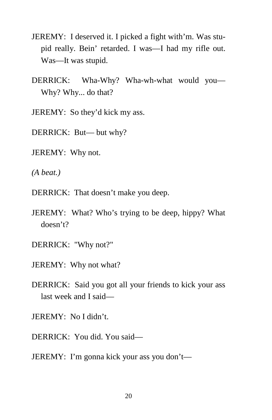- JEREMY: I deserved it. I picked a fight with'm. Was stupid really. Bein' retarded. I was—I had my rifle out. Was—It was stupid.
- DERRICK: Wha-Why? Wha-wh-what would you— Why? Why... do that?
- JEREMY: So they'd kick my ass.
- DERRICK: But— but why?
- JEREMY: Why not.
- *(A beat.)*
- DERRICK: That doesn't make you deep.
- JEREMY: What? Who's trying to be deep, hippy? What doesn't?
- DERRICK: "Why not?"
- JEREMY: Why not what?
- DERRICK: Said you got all your friends to kick your ass last week and I said—
- JEREMY: No I didn't.
- DERRICK: You did. You said—
- JEREMY: I'm gonna kick your ass you don't—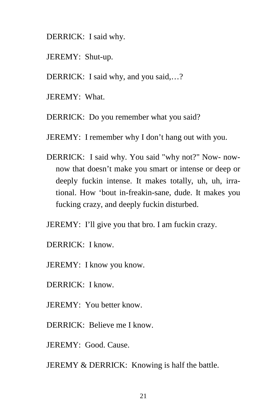DERRICK: I said why.

- JEREMY: Shut-up.
- DERRICK: I said why, and you said,...?
- JEREMY: What.
- DERRICK: Do you remember what you said?
- JEREMY: I remember why I don't hang out with you.
- DERRICK: I said why. You said "why not?" Now- nownow that doesn't make you smart or intense or deep or deeply fuckin intense. It makes totally, uh, uh, irrational. How 'bout in-freakin-sane, dude. It makes you fucking crazy, and deeply fuckin disturbed.
- JEREMY: I'll give you that bro. I am fuckin crazy.
- DERRICK: I know.
- JEREMY: I know you know.
- DERRICK: I know.
- JEREMY: You better know.
- DERRICK: Believe me I know.
- JEREMY: Good. Cause.
- JEREMY & DERRICK: Knowing is half the battle.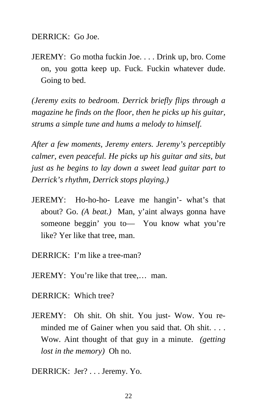DERRICK: Go Joe.

JEREMY: Go motha fuckin Joe. . . . Drink up, bro. Come on, you gotta keep up. Fuck. Fuckin whatever dude. Going to bed.

*(Jeremy exits to bedroom. Derrick briefly flips through a magazine he finds on the floor, then he picks up his guitar, strums a simple tune and hums a melody to himself.* 

*After a few moments, Jeremy enters. Jeremy's perceptibly calmer, even peaceful. He picks up his guitar and sits, but just as he begins to lay down a sweet lead guitar part to Derrick's rhythm, Derrick stops playing.)* 

- JEREMY: Ho-ho-ho- Leave me hangin'- what's that about? Go. *(A beat.)* Man, y'aint always gonna have someone beggin' you to— You know what you're like? Yer like that tree, man.
- DERRICK: I'm like a tree-man?
- JEREMY: You're like that tree,… man.
- DERRICK: Which tree?
- JEREMY: Oh shit. Oh shit. You just- Wow. You reminded me of Gainer when you said that. Oh shit. . . . Wow. Aint thought of that guy in a minute. *(getting lost in the memory)* Oh no.
- DERRICK: Jer? . . . Jeremy. Yo.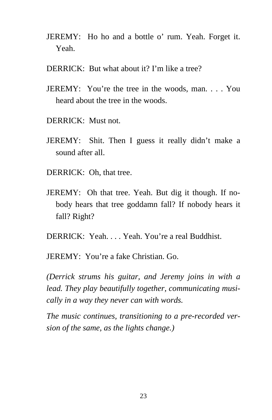- JEREMY: Ho ho and a bottle o' rum. Yeah. Forget it. Yeah.
- DERRICK: But what about it? I'm like a tree?
- JEREMY: You're the tree in the woods, man. . . . You heard about the tree in the woods.
- DERRICK: Must not.
- JEREMY: Shit. Then I guess it really didn't make a sound after all.
- DERRICK: Oh, that tree.
- JEREMY: Oh that tree. Yeah. But dig it though. If nobody hears that tree goddamn fall? If nobody hears it fall? Right?
- DERRICK: Yeah. . . . Yeah. You're a real Buddhist.
- JEREMY: You're a fake Christian. Go.

*(Derrick strums his guitar, and Jeremy joins in with a lead. They play beautifully together, communicating musically in a way they never can with words.* 

*The music continues, transitioning to a pre-recorded version of the same, as the lights change.)*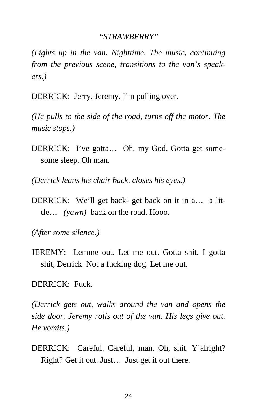#### *"STRAWBERRY"*

*(Lights up in the van. Nighttime. The music, continuing from the previous scene, transitions to the van's speakers.)* 

DERRICK: Jerry. Jeremy. I'm pulling over.

*(He pulls to the side of the road, turns off the motor. The music stops.)* 

DERRICK: I've gotta… Oh, my God. Gotta get somesome sleep. Oh man.

*(Derrick leans his chair back, closes his eyes.)* 

DERRICK: We'll get back- get back on it in a… a little… *(yawn)* back on the road. Hooo.

*(After some silence.)* 

JEREMY: Lemme out. Let me out. Gotta shit. I gotta shit, Derrick. Not a fucking dog. Let me out.

DERRICK: Fuck.

*(Derrick gets out, walks around the van and opens the side door. Jeremy rolls out of the van. His legs give out. He vomits.)* 

DERRICK: Careful. Careful, man. Oh, shit. Y'alright? Right? Get it out. Just… Just get it out there.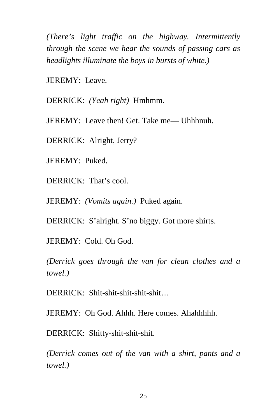*(There's light traffic on the highway. Intermittently through the scene we hear the sounds of passing cars as headlights illuminate the boys in bursts of white.)*

JEREMY: Leave.

DERRICK: *(Yeah right)* Hmhmm.

JEREMY: Leave then! Get. Take me— Uhhhnuh.

DERRICK: Alright, Jerry?

JEREMY: Puked.

DERRICK: That's cool.

JEREMY: *(Vomits again.)* Puked again.

DERRICK: S'alright. S'no biggy. Got more shirts.

JEREMY: Cold. Oh God.

*(Derrick goes through the van for clean clothes and a towel.)* 

DERRICK: Shit-shit-shit-shit-shit…

JEREMY: Oh God. Ahhh. Here comes. Ahahhhhh.

DERRICK: Shitty-shit-shit-shit.

*(Derrick comes out of the van with a shirt, pants and a towel.)*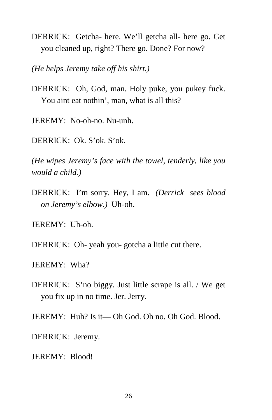DERRICK: Getcha- here. We'll getcha all- here go. Get you cleaned up, right? There go. Done? For now?

*(He helps Jeremy take off his shirt.)* 

DERRICK: Oh, God, man. Holy puke, you pukey fuck. You aint eat nothin', man, what is all this?

JEREMY: No-oh-no. Nu-unh.

DERRICK: Ok. S'ok. S'ok.

*(He wipes Jeremy's face with the towel, tenderly, like you would a child.)* 

DERRICK: I'm sorry. Hey, I am. *(Derrick sees blood on Jeremy's elbow.)* Uh-oh.

JEREMY: Uh-oh.

DERRICK: Oh- yeah you- gotcha a little cut there.

JEREMY: Wha?

- DERRICK: S'no biggy. Just little scrape is all. / We get you fix up in no time. Jer. Jerry.
- JEREMY: Huh? Is it— Oh God. Oh no. Oh God. Blood.
- DERRICK: Jeremy.

JEREMY: Blood!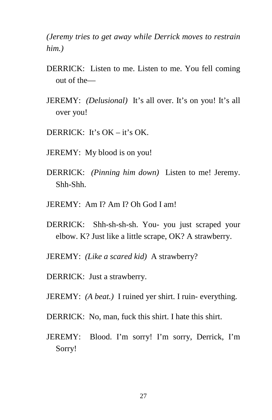*(Jeremy tries to get away while Derrick moves to restrain him.)* 

- DERRICK: Listen to me. Listen to me. You fell coming out of the—
- JEREMY: *(Delusional)* It's all over. It's on you! It's all over you!
- DERRICK: It's  $OK it$ 's  $OK -$
- JEREMY: My blood is on you!
- DERRICK: *(Pinning him down)* Listen to me! Jeremy. Shh-Shh.
- JEREMY: Am I? Am I? Oh God I am!
- DERRICK: Shh-sh-sh-sh. You- you just scraped your elbow. K? Just like a little scrape, OK? A strawberry.
- JEREMY: *(Like a scared kid)* A strawberry?
- DERRICK: Just a strawberry.
- JEREMY: *(A beat.)* I ruined yer shirt. I ruin- everything.
- DERRICK: No, man, fuck this shirt. I hate this shirt.
- JEREMY: Blood. I'm sorry! I'm sorry, Derrick, I'm Sorry!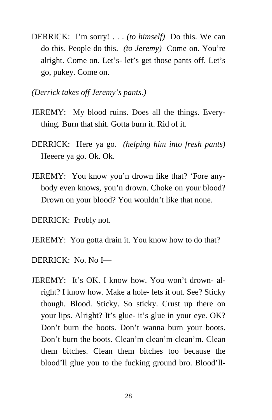- DERRICK: I'm sorry! . . . *(to himself)* Do this. We can do this. People do this. *(to Jeremy)* Come on. You're alright. Come on. Let's- let's get those pants off. Let's go, pukey. Come on.
- *(Derrick takes off Jeremy's pants.)*
- JEREMY: My blood ruins. Does all the things. Everything. Burn that shit. Gotta burn it. Rid of it.
- DERRICK: Here ya go. *(helping him into fresh pants)* Heeere ya go. Ok. Ok.
- JEREMY: You know you'n drown like that? 'Fore anybody even knows, you'n drown. Choke on your blood? Drown on your blood? You wouldn't like that none.
- DERRICK: Probly not.
- JEREMY: You gotta drain it. You know how to do that?
- DERRICK: No. No I—
- JEREMY: It's OK. I know how. You won't drown- alright? I know how. Make a hole- lets it out. See? Sticky though. Blood. Sticky. So sticky. Crust up there on your lips. Alright? It's glue- it's glue in your eye. OK? Don't burn the boots. Don't wanna burn your boots. Don't burn the boots. Clean'm clean'm clean'm. Clean them bitches. Clean them bitches too because the blood'll glue you to the fucking ground bro. Blood'll-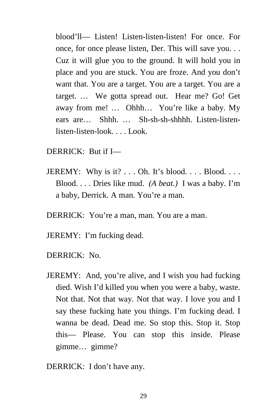blood'll— Listen! Listen-listen-listen! For once. For once, for once please listen, Der. This will save you. . . Cuz it will glue you to the ground. It will hold you in place and you are stuck. You are froze. And you don't want that. You are a target. You are a target. You are a target. … We gotta spread out. Hear me? Go! Get away from me! … Ohhh… You're like a baby. My ears are… Shhh. … Sh-sh-sh-shhhh. Listen-listenlisten-listen-look. . . . Look.

- DERRICK: But if I—
- JEREMY: Why is it?  $\dots$  Oh. It's blood.  $\dots$  Blood.  $\dots$ Blood. . . . Dries like mud. *(A beat.)* I was a baby. I'm a baby, Derrick. A man. You're a man.
- DERRICK: You're a man, man. You are a man.
- JEREMY: I'm fucking dead.
- DERRICK: No.
- JEREMY: And, you're alive, and I wish you had fucking died. Wish I'd killed you when you were a baby, waste. Not that. Not that way. Not that way. I love you and I say these fucking hate you things. I'm fucking dead. I wanna be dead. Dead me. So stop this. Stop it. Stop this— Please. You can stop this inside. Please gimme… gimme?

DERRICK: I don't have any.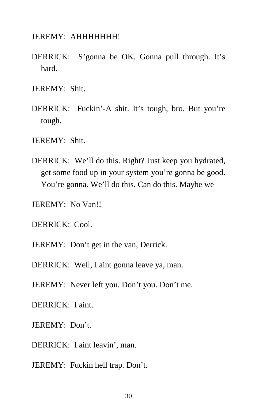JEREMY: AHHHHHHH!

DERRICK: S'gonna be OK. Gonna pull through. It's hard.

JEREMY: Shit.

DERRICK: Fuckin'-A shit. It's tough, bro. But you're tough.

JEREMY: Shit.

DERRICK: We'll do this. Right? Just keep you hydrated, get some food up in your system you're gonna be good. You're gonna. We'll do this. Can do this. Maybe we—

JEREMY: No Van!!

DERRICK: Cool.

JEREMY: Don't get in the van, Derrick.

DERRICK: Well, I aint gonna leave ya, man.

JEREMY: Never left you. Don't you. Don't me.

DERRICK: I aint.

JEREMY: Don't.

DERRICK: I aint leavin', man.

JEREMY: Fuckin hell trap. Don't.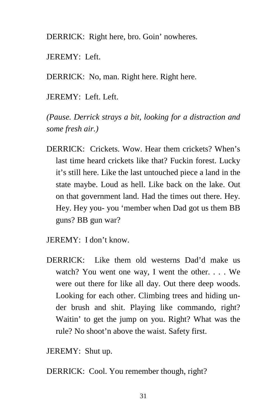DERRICK: Right here, bro. Goin' nowheres.

JEREMY: Left.

DERRICK: No, man. Right here. Right here.

JEREMY: Left. Left.

*(Pause. Derrick strays a bit, looking for a distraction and some fresh air.)* 

- DERRICK: Crickets. Wow. Hear them crickets? When's last time heard crickets like that? Fuckin forest. Lucky it's still here. Like the last untouched piece a land in the state maybe. Loud as hell. Like back on the lake. Out on that government land. Had the times out there. Hey. Hey. Hey you- you 'member when Dad got us them BB guns? BB gun war?
- JEREMY: I don't know.
- DERRICK: Like them old westerns Dad'd make us watch? You went one way, I went the other. . . . We were out there for like all day. Out there deep woods. Looking for each other. Climbing trees and hiding under brush and shit. Playing like commando, right? Waitin' to get the jump on you. Right? What was the rule? No shoot'n above the waist. Safety first.

JEREMY: Shut up.

DERRICK: Cool. You remember though, right?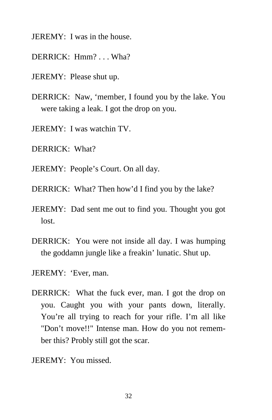- JEREMY: I was in the house.
- DERRICK: Hmm? . . . Wha?
- JEREMY: Please shut up.
- DERRICK: Naw, 'member, I found you by the lake. You were taking a leak. I got the drop on you.
- JEREMY: I was watchin TV.
- DERRICK: What?
- JEREMY: People's Court. On all day.
- DERRICK: What? Then how'd I find you by the lake?
- JEREMY: Dad sent me out to find you. Thought you got lost.
- DERRICK: You were not inside all day. I was humping the goddamn jungle like a freakin' lunatic. Shut up.
- JEREMY: 'Ever, man.
- DERRICK: What the fuck ever, man. I got the drop on you. Caught you with your pants down, literally. You're all trying to reach for your rifle. I'm all like "Don't move!!" Intense man. How do you not remember this? Probly still got the scar.
- JEREMY: You missed.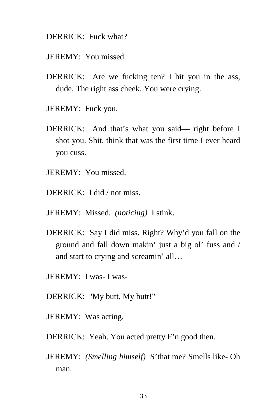#### DERRICK: Fuck what?

- JEREMY: You missed.
- DERRICK: Are we fucking ten? I hit you in the ass, dude. The right ass cheek. You were crying.
- JEREMY: Fuck you.
- DERRICK: And that's what you said— right before I shot you. Shit, think that was the first time I ever heard you cuss.
- JEREMY: You missed.
- DERRICK: I did / not miss.
- JEREMY: Missed. *(noticing)* I stink.
- DERRICK: Say I did miss. Right? Why'd you fall on the ground and fall down makin' just a big ol' fuss and / and start to crying and screamin' all…
- JEREMY: I was- I was-
- DERRICK: "My butt, My butt!"
- JEREMY: Was acting.
- DERRICK: Yeah. You acted pretty F'n good then.
- JEREMY: *(Smelling himself)* S'that me? Smells like- Oh man.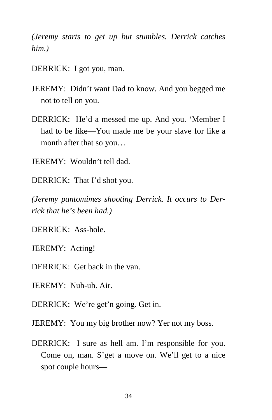*(Jeremy starts to get up but stumbles. Derrick catches him.)* 

DERRICK: I got you, man.

- JEREMY: Didn't want Dad to know. And you begged me not to tell on you.
- DERRICK: He'd a messed me up. And you. 'Member I had to be like—You made me be your slave for like a month after that so you…

JEREMY: Wouldn't tell dad.

DERRICK: That I'd shot you.

*(Jeremy pantomimes shooting Derrick. It occurs to Derrick that he's been had.)* 

DERRICK: Ass-hole.

JEREMY: Acting!

DERRICK: Get back in the van.

JEREMY: Nuh-uh. Air.

DERRICK: We're get'n going. Get in.

JEREMY: You my big brother now? Yer not my boss.

DERRICK: I sure as hell am. I'm responsible for you. Come on, man. S'get a move on. We'll get to a nice spot couple hours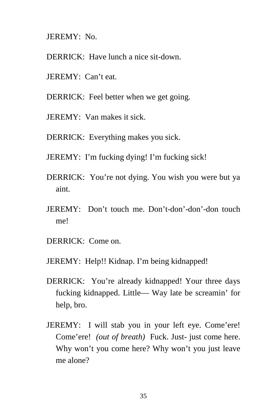JEREMY: No.

- DERRICK: Have lunch a nice sit-down.
- JEREMY: Can't eat.
- DERRICK: Feel better when we get going.
- JEREMY: Van makes it sick.
- DERRICK: Everything makes you sick.
- JEREMY: I'm fucking dying! I'm fucking sick!
- DERRICK: You're not dying. You wish you were but ya aint.
- JEREMY: Don't touch me. Don't-don'-don'-don touch me!
- DERRICK: Come on.
- JEREMY: Help!! Kidnap. I'm being kidnapped!
- DERRICK: You're already kidnapped! Your three days fucking kidnapped. Little— Way late be screamin' for help, bro.
- JEREMY: I will stab you in your left eye. Come'ere! Come'ere! *(out of breath)* Fuck. Just- just come here. Why won't you come here? Why won't you just leave me alone?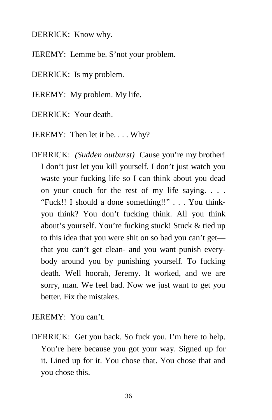DERRICK: Know why.

JEREMY: Lemme be. S'not your problem.

DERRICK: Is my problem.

JEREMY: My problem. My life.

DERRICK: Your death.

JEREMY: Then let it be.... Why?

DERRICK: *(Sudden outburst)* Cause you're my brother! I don't just let you kill yourself. I don't just watch you waste your fucking life so I can think about you dead on your couch for the rest of my life saying. . . . "Fuck!! I should a done something!!" . . . You thinkyou think? You don't fucking think. All you think about's yourself. You're fucking stuck! Stuck & tied up to this idea that you were shit on so bad you can't get that you can't get clean- and you want punish everybody around you by punishing yourself. To fucking death. Well hoorah, Jeremy. It worked, and we are sorry, man. We feel bad. Now we just want to get you better. Fix the mistakes.

JEREMY: You can't.

DERRICK: Get you back. So fuck you. I'm here to help. You're here because you got your way. Signed up for it. Lined up for it. You chose that. You chose that and you chose this.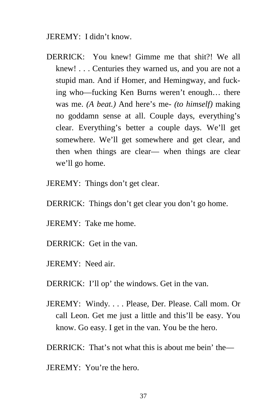#### JEREMY: I didn't know.

- DERRICK: You knew! Gimme me that shit?! We all knew! . . . Centuries they warned us, and you are not a stupid man. And if Homer, and Hemingway, and fucking who—fucking Ken Burns weren't enough… there was me. *(A beat.)* And here's me- *(to himself)* making no goddamn sense at all. Couple days, everything's clear. Everything's better a couple days. We'll get somewhere. We'll get somewhere and get clear, and then when things are clear— when things are clear we'll go home.
- JEREMY: Things don't get clear.
- DERRICK: Things don't get clear you don't go home.
- JEREMY: Take me home.
- DERRICK: Get in the van.
- JEREMY: Need air.
- DERRICK: I'll op' the windows. Get in the van.
- JEREMY: Windy. . . . Please, Der. Please. Call mom. Or call Leon. Get me just a little and this'll be easy. You know. Go easy. I get in the van. You be the hero.
- DERRICK: That's not what this is about me bein' the—
- JEREMY: You're the hero.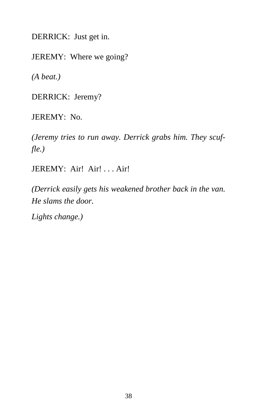DERRICK: Just get in.

JEREMY: Where we going?

*(A beat.)* 

DERRICK: Jeremy?

JEREMY: No.

*(Jeremy tries to run away. Derrick grabs him. They scuffle.)* 

JEREMY: Air! Air! . . . Air!

*(Derrick easily gets his weakened brother back in the van. He slams the door.* 

*Lights change.)*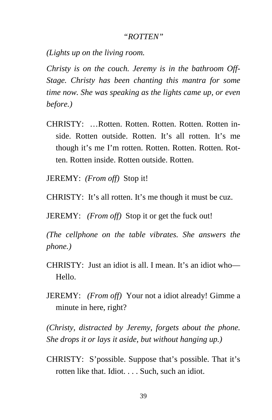#### *"ROTTEN"*

*(Lights up on the living room.* 

*Christy is on the couch. Jeremy is in the bathroom Off-Stage. Christy has been chanting this mantra for some time now. She was speaking as the lights came up, or even before.)* 

- CHRISTY: …Rotten. Rotten. Rotten. Rotten. Rotten inside. Rotten outside. Rotten. It's all rotten. It's me though it's me I'm rotten. Rotten. Rotten. Rotten. Rotten. Rotten inside. Rotten outside. Rotten.
- JEREMY: *(From off)* Stop it!
- CHRISTY: It's all rotten. It's me though it must be cuz.

JEREMY: *(From off)* Stop it or get the fuck out!

*(The cellphone on the table vibrates. She answers the phone.)* 

- CHRISTY: Just an idiot is all. I mean. It's an idiot who— Hello.
- JEREMY: *(From off)* Your not a idiot already! Gimme a minute in here, right?

*(Christy, distracted by Jeremy, forgets about the phone. She drops it or lays it aside, but without hanging up.)* 

CHRISTY: S'possible. Suppose that's possible. That it's rotten like that. Idiot. . . . Such, such an idiot.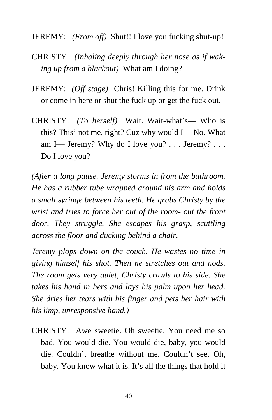JEREMY: *(From off)* Shut!! I love you fucking shut-up!

- CHRISTY: *(Inhaling deeply through her nose as if waking up from a blackout)* What am I doing?
- JEREMY: *(Off stage)* Chris! Killing this for me. Drink or come in here or shut the fuck up or get the fuck out.
- CHRISTY: *(To herself)* Wait. Wait-what's— Who is this? This' not me, right? Cuz why would I— No. What am I— Jeremy? Why do I love you? . . . Jeremy? . . . Do I love you?

*(After a long pause. Jeremy storms in from the bathroom. He has a rubber tube wrapped around his arm and holds a small syringe between his teeth. He grabs Christy by the wrist and tries to force her out of the room- out the front door. They struggle. She escapes his grasp, scuttling across the floor and ducking behind a chair.* 

*Jeremy plops down on the couch. He wastes no time in giving himself his shot. Then he stretches out and nods. The room gets very quiet, Christy crawls to his side. She takes his hand in hers and lays his palm upon her head. She dries her tears with his finger and pets her hair with his limp, unresponsive hand.)* 

CHRISTY: Awe sweetie. Oh sweetie. You need me so bad. You would die. You would die, baby, you would die. Couldn't breathe without me. Couldn't see. Oh, baby. You know what it is. It's all the things that hold it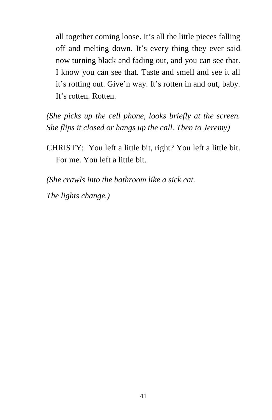all together coming loose. It's all the little pieces falling off and melting down. It's every thing they ever said now turning black and fading out, and you can see that. I know you can see that. Taste and smell and see it all it's rotting out. Give'n way. It's rotten in and out, baby. It's rotten. Rotten.

*(She picks up the cell phone, looks briefly at the screen. She flips it closed or hangs up the call. Then to Jeremy)* 

CHRISTY: You left a little bit, right? You left a little bit. For me. You left a little bit.

*(She crawls into the bathroom like a sick cat.* 

*The lights change.)*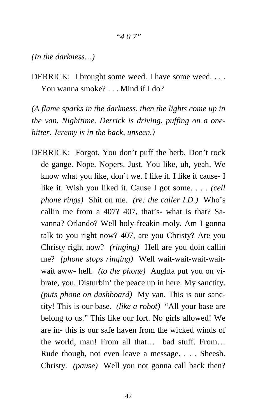#### *"4 0 7"*

*(In the darkness…)* 

DERRICK: I brought some weed. I have some weed. . . . You wanna smoke? . . . Mind if I do?

*(A flame sparks in the darkness, then the lights come up in the van. Nighttime. Derrick is driving, puffing on a onehitter. Jeremy is in the back, unseen.)* 

DERRICK: Forgot. You don't puff the herb. Don't rock de gange. Nope. Nopers. Just. You like, uh, yeah. We know what you like, don't we. I like it. I like it cause- I like it. Wish you liked it. Cause I got some. . . . *(cell phone rings)* Shit on me. *(re: the caller I.D.)* Who's callin me from a 407? 407, that's- what is that? Savanna? Orlando? Well holy-freakin-moly. Am I gonna talk to you right now? 407, are you Christy? Are you Christy right now? *(ringing)* Hell are you doin callin me? *(phone stops ringing)* Well wait-wait-wait-waitwait aww- hell. *(to the phone)* Aughta put you on vibrate, you. Disturbin' the peace up in here. My sanctity. *(puts phone on dashboard)* My van. This is our sanctity! This is our base. *(like a robot)* "All your base are belong to us." This like our fort. No girls allowed! We are in- this is our safe haven from the wicked winds of the world, man! From all that… bad stuff. From… Rude though, not even leave a message. . . . Sheesh. Christy. *(pause)* Well you not gonna call back then?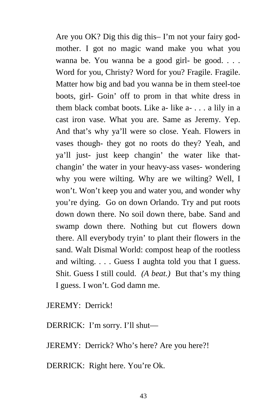Are you OK? Dig this dig this– I'm not your fairy godmother. I got no magic wand make you what you wanna be. You wanna be a good girl- be good. . . . Word for you, Christy? Word for you? Fragile. Fragile. Matter how big and bad you wanna be in them steel-toe boots, girl- Goin' off to prom in that white dress in them black combat boots. Like  $a-$  like  $a-$ ... a lily in a cast iron vase. What you are. Same as Jeremy. Yep. And that's why ya'll were so close. Yeah. Flowers in vases though- they got no roots do they? Yeah, and ya'll just- just keep changin' the water like thatchangin' the water in your heavy-ass vases- wondering why you were wilting. Why are we wilting? Well, I won't. Won't keep you and water you, and wonder why you're dying. Go on down Orlando. Try and put roots down down there. No soil down there, babe. Sand and swamp down there. Nothing but cut flowers down there. All everybody tryin' to plant their flowers in the sand. Walt Dismal World: compost heap of the rootless and wilting. . . . Guess I aughta told you that I guess. Shit. Guess I still could. *(A beat.)* But that's my thing I guess. I won't. God damn me.

JEREMY: Derrick!

DERRICK: I'm sorry. I'll shut—

JEREMY: Derrick? Who's here? Are you here?!

DERRICK: Right here. You're Ok.